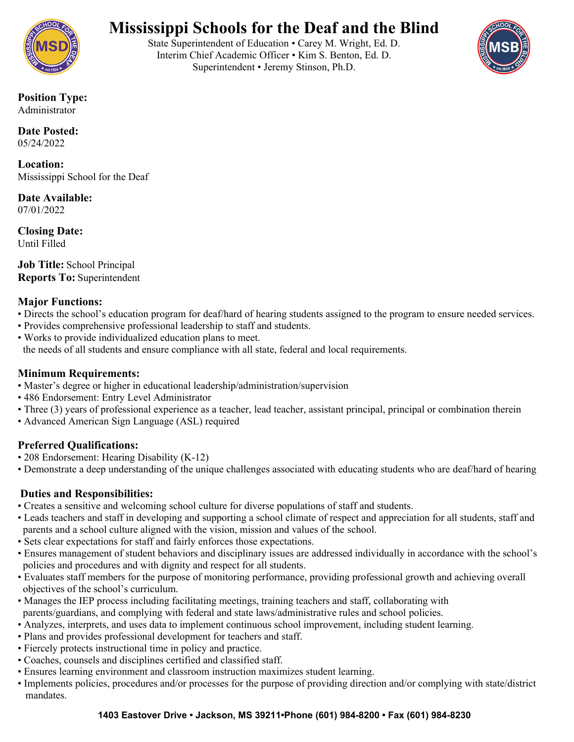

## **Mississippi Schools for the Deaf and the Blind**

State Superintendent of Education • Carey M. Wright, Ed. D. Interim Chief Academic Officer • Kim S. Benton, Ed. D. Superintendent • Jeremy Stinson, Ph.D.



**Position Type:** Administrator

**Date Posted:** 05/24/2022

**Location:** Mississippi School for the Deaf

**Date Available:** 07/01/2022

**Closing Date:** Until Filled

**Job Title:** School Principal **Reports To:** Superintendent

#### **Major Functions:**

- Directs the school's education program for deaf/hard of hearing students assigned to the program to ensure needed services.
- Provides comprehensive professional leadership to staff and students.
- Works to provide individualized education plans to meet. the needs of all students and ensure compliance with all state, federal and local requirements.

#### **Minimum Requirements:**

- Master's degree or higher in educational leadership/administration/supervision
- 486 Endorsement: Entry Level Administrator
- Three (3) years of professional experience as a teacher, lead teacher, assistant principal, principal or combination therein
- Advanced American Sign Language (ASL) required

## **Preferred Qualifications:**

- 208 Endorsement: Hearing Disability (K-12)
- Demonstrate a deep understanding of the unique challenges associated with educating students who are deaf/hard of hearing

## **Duties and Responsibilities:**

- Creates a sensitive and welcoming school culture for diverse populations of staff and students.
- Leads teachers and staff in developing and supporting a school climate of respect and appreciation for all students, staff and parents and a school culture aligned with the vision, mission and values of the school.
- Sets clear expectations for staff and fairly enforces those expectations.
- Ensures management of student behaviors and disciplinary issues are addressed individually in accordance with the school's policies and procedures and with dignity and respect for all students.
- Evaluates staff members for the purpose of monitoring performance, providing professional growth and achieving overall objectives of the school's curriculum.
- Manages the IEP process including facilitating meetings, training teachers and staff, collaborating with parents/guardians, and complying with federal and state laws/administrative rules and school policies.
- Analyzes, interprets, and uses data to implement continuous school improvement, including student learning.
- Plans and provides professional development for teachers and staff.
- Fiercely protects instructional time in policy and practice.
- Coaches, counsels and disciplines certified and classified staff.
- Ensures learning environment and classroom instruction maximizes student learning.
- Implements policies, procedures and/or processes for the purpose of providing direction and/or complying with state/district mandates.